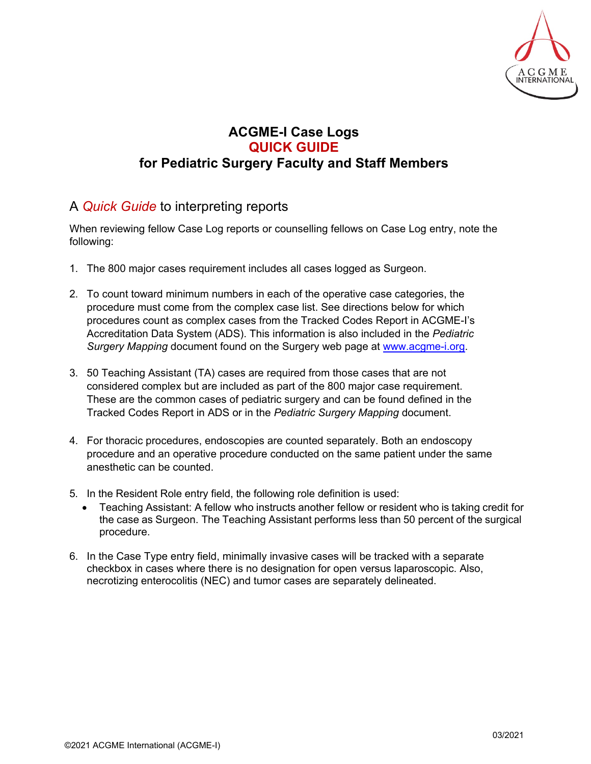

## **ACGME-I Case Logs QUICK GUIDE for Pediatric Surgery Faculty and Staff Members**

## A *Quick Guide* to interpreting reports

When reviewing fellow Case Log reports or counselling fellows on Case Log entry, note the following:

- 1. The 800 major cases requirement includes all cases logged as Surgeon.
- 2. To count toward minimum numbers in each of the operative case categories, the procedure must come from the complex case list. See directions below for which procedures count as complex cases from the Tracked Codes Report in ACGME-I's Accreditation Data System (ADS). This information is also included in the *Pediatric Surgery Mapping* document found on the Surgery web page at [www.acgme-i.org.](http://www.acgme-i.org/)
- 3. 50 Teaching Assistant (TA) cases are required from those cases that are not considered complex but are included as part of the 800 major case requirement. These are the common cases of pediatric surgery and can be found defined in the Tracked Codes Report in ADS or in the *Pediatric Surgery Mapping* document.
- 4. For thoracic procedures, endoscopies are counted separately. Both an endoscopy procedure and an operative procedure conducted on the same patient under the same anesthetic can be counted.
- 5. In the Resident Role entry field, the following role definition is used:
	- Teaching Assistant: A fellow who instructs another fellow or resident who is taking credit for the case as Surgeon. The Teaching Assistant performs less than 50 percent of the surgical procedure.
- 6. In the Case Type entry field, minimally invasive cases will be tracked with a separate checkbox in cases where there is no designation for open versus laparoscopic. Also, necrotizing enterocolitis (NEC) and tumor cases are separately delineated.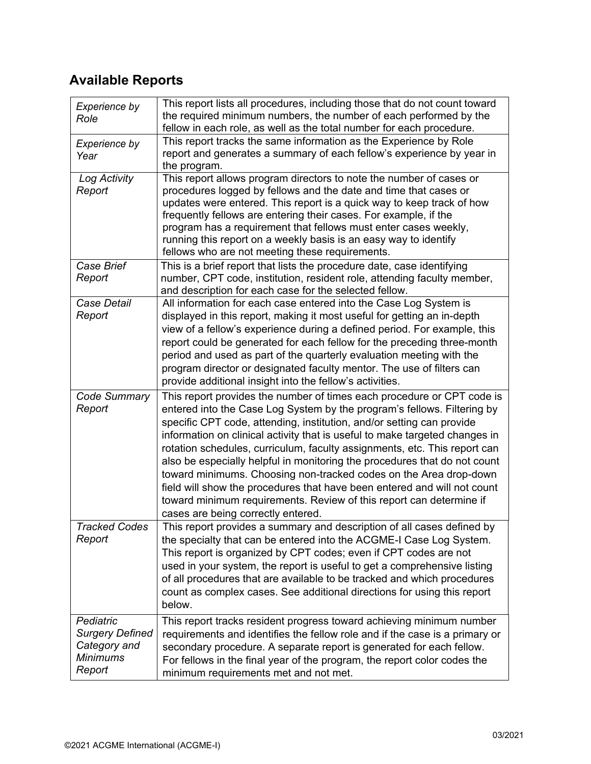## **Available Reports**

| Experience by<br>Role                                                            | This report lists all procedures, including those that do not count toward<br>the required minimum numbers, the number of each performed by the<br>fellow in each role, as well as the total number for each procedure.                                                                                                                                                                                                                                                                                                                                                                                                                                                                                                           |
|----------------------------------------------------------------------------------|-----------------------------------------------------------------------------------------------------------------------------------------------------------------------------------------------------------------------------------------------------------------------------------------------------------------------------------------------------------------------------------------------------------------------------------------------------------------------------------------------------------------------------------------------------------------------------------------------------------------------------------------------------------------------------------------------------------------------------------|
| <b>Experience by</b><br>Year                                                     | This report tracks the same information as the Experience by Role<br>report and generates a summary of each fellow's experience by year in<br>the program.                                                                                                                                                                                                                                                                                                                                                                                                                                                                                                                                                                        |
| Log Activity<br>Report                                                           | This report allows program directors to note the number of cases or<br>procedures logged by fellows and the date and time that cases or<br>updates were entered. This report is a quick way to keep track of how<br>frequently fellows are entering their cases. For example, if the<br>program has a requirement that fellows must enter cases weekly,<br>running this report on a weekly basis is an easy way to identify<br>fellows who are not meeting these requirements.                                                                                                                                                                                                                                                    |
| Case Brief<br>Report                                                             | This is a brief report that lists the procedure date, case identifying<br>number, CPT code, institution, resident role, attending faculty member,<br>and description for each case for the selected fellow.                                                                                                                                                                                                                                                                                                                                                                                                                                                                                                                       |
| Case Detail<br>Report                                                            | All information for each case entered into the Case Log System is<br>displayed in this report, making it most useful for getting an in-depth<br>view of a fellow's experience during a defined period. For example, this<br>report could be generated for each fellow for the preceding three-month<br>period and used as part of the quarterly evaluation meeting with the<br>program director or designated faculty mentor. The use of filters can<br>provide additional insight into the fellow's activities.                                                                                                                                                                                                                  |
| Code Summary<br>Report                                                           | This report provides the number of times each procedure or CPT code is<br>entered into the Case Log System by the program's fellows. Filtering by<br>specific CPT code, attending, institution, and/or setting can provide<br>information on clinical activity that is useful to make targeted changes in<br>rotation schedules, curriculum, faculty assignments, etc. This report can<br>also be especially helpful in monitoring the procedures that do not count<br>toward minimums. Choosing non-tracked codes on the Area drop-down<br>field will show the procedures that have been entered and will not count<br>toward minimum requirements. Review of this report can determine if<br>cases are being correctly entered. |
| <b>Tracked Codes</b><br>Report                                                   | This report provides a summary and description of all cases defined by<br>the specialty that can be entered into the ACGME-I Case Log System.<br>This report is organized by CPT codes; even if CPT codes are not<br>used in your system, the report is useful to get a comprehensive listing<br>of all procedures that are available to be tracked and which procedures<br>count as complex cases. See additional directions for using this report<br>below.                                                                                                                                                                                                                                                                     |
| Pediatric<br><b>Surgery Defined</b><br>Category and<br><b>Minimums</b><br>Report | This report tracks resident progress toward achieving minimum number<br>requirements and identifies the fellow role and if the case is a primary or<br>secondary procedure. A separate report is generated for each fellow.<br>For fellows in the final year of the program, the report color codes the<br>minimum requirements met and not met.                                                                                                                                                                                                                                                                                                                                                                                  |